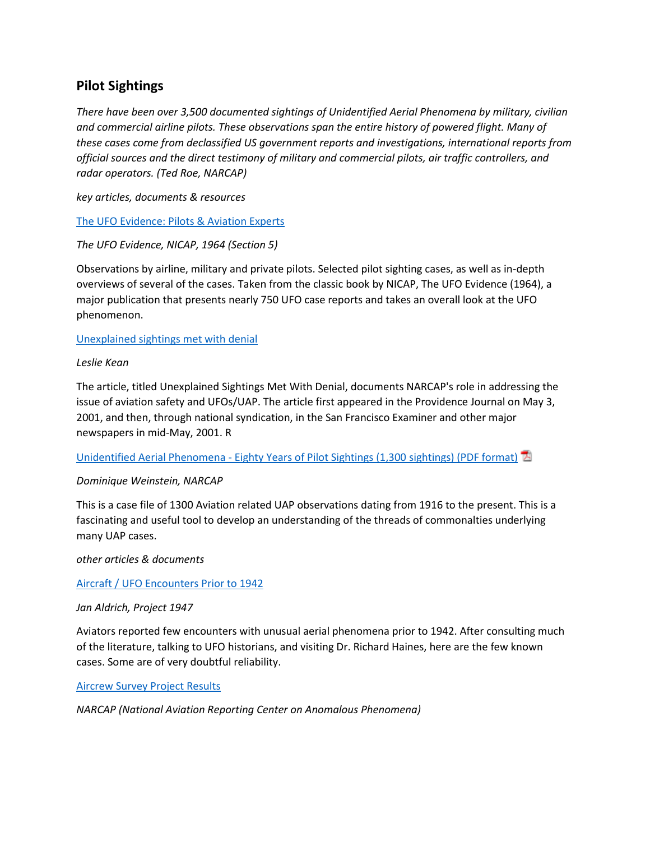# **Pilot Sightings**

*There have been over 3,500 documented sightings of Unidentified Aerial Phenomena by military, civilian and commercial airline pilots. These observations span the entire history of powered flight. Many of these cases come from declassified US government reports and investigations, international reports from official sources and the direct testimony of military and commercial pilots, air traffic controllers, and radar operators. (Ted Roe, NARCAP)*

*key articles, documents & resources*

[The UFO Evidence: Pilots & Aviation Experts](http://www.nicap.org/ufoe/section_5.htm)

*The UFO Evidence, NICAP, 1964 (Section 5)*

Observations by airline, military and private pilots. Selected pilot sighting cases, as well as in-depth overviews of several of the cases. Taken from the classic book by NICAP, The UFO Evidence (1964), a major publication that presents nearly 750 UFO case reports and takes an overall look at the UFO phenomenon.

[Unexplained sightings met with denial](http://www.ufoevidence.org/documents/doc3.htm)

## *Leslie Kean*

The article, titled Unexplained Sightings Met With Denial, documents NARCAP's role in addressing the issue of aviation safety and UFOs/UAP. The article first appeared in the Providence Journal on May 3, 2001, and then, through national syndication, in the San Francisco Examiner and other major newspapers in mid-May, 2001. R

Unidentified Aerial Phenomena - [Eighty Years of Pilot Sightings \(1,300](http://www.ufoevidence.org/newsite/files/WeinsteinPilotCatalog.pdf) sightings) (PDF format) 2

#### *Dominique Weinstein, NARCAP*

This is a case file of 1300 Aviation related UAP observations dating from 1916 to the present. This is a fascinating and useful tool to develop an understanding of the threads of commonalties underlying many UAP cases.

*other articles & documents*

#### [Aircraft / UFO Encounters Prior to 1942](http://www.project1947.com/jan42.htm)

#### *Jan Aldrich, Project 1947*

Aviators reported few encounters with unusual aerial phenomena prior to 1942. After consulting much of the literature, talking to UFO historians, and visiting Dr. Richard Haines, here are the few known cases. Some are of very doubtful reliability.

[Aircrew Survey Project Results](http://www.narcap.org/REPORTS/TR5.htm)

*NARCAP (National Aviation Reporting Center on Anomalous Phenomena)*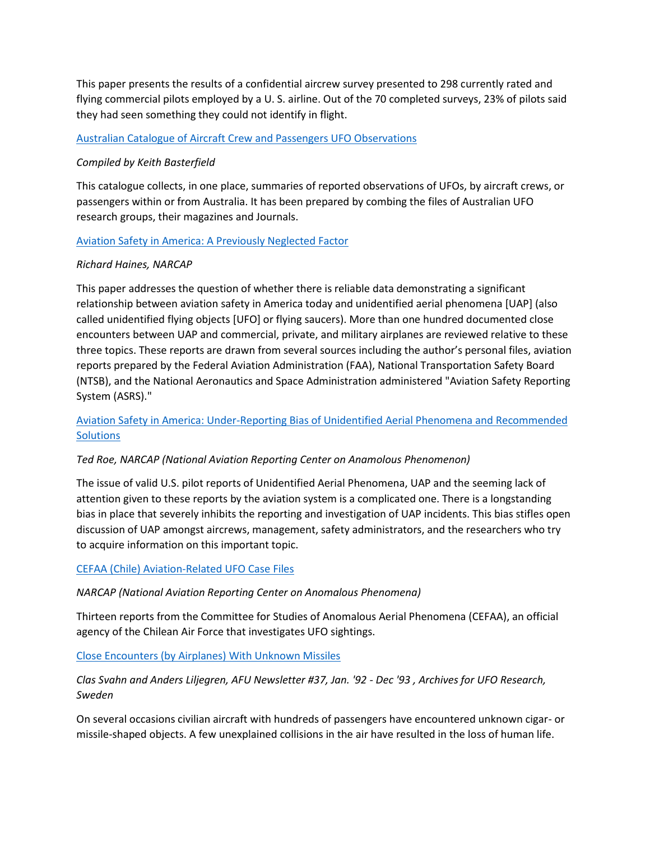This paper presents the results of a confidential aircrew survey presented to 298 currently rated and flying commercial pilots employed by a U. S. airline. Out of the 70 completed surveys, 23% of pilots said they had seen something they could not identify in flight.

#### [Australian Catalogue of Aircraft Crew and Passengers UFO Observations](http://www.project1947.com/kbcat/kbair0505.htm)

# *Compiled by Keith Basterfield*

This catalogue collects, in one place, summaries of reported observations of UFOs, by aircraft crews, or passengers within or from Australia. It has been prepared by combing the files of Australian UFO research groups, their magazines and Journals.

# [Aviation Safety in America: A Previously Neglected Factor](http://www.narcap.org/REPORTS/AIRSAFETY_P1.HTM)

## *Richard Haines, NARCAP*

This paper addresses the question of whether there is reliable data demonstrating a significant relationship between aviation safety in America today and unidentified aerial phenomena [UAP] (also called unidentified flying objects [UFO] or flying saucers). More than one hundred documented close encounters between UAP and commercial, private, and military airplanes are reviewed relative to these three topics. These reports are drawn from several sources including the author's personal files, aviation reports prepared by the Federal Aviation Administration (FAA), National Transportation Safety Board (NTSB), and the National Aeronautics and Space Administration administered "Aviation Safety Reporting System (ASRS)."

[Aviation Safety in America: Under-Reporting Bias of Unidentified Aerial Phenomena and Recommended](http://www.narcap.org/reports/TR8Bias1.htm)  **[Solutions](http://www.narcap.org/reports/TR8Bias1.htm)** 

#### *Ted Roe, NARCAP (National Aviation Reporting Center on Anamolous Phenomenon)*

The issue of valid U.S. pilot reports of Unidentified Aerial Phenomena, UAP and the seeming lack of attention given to these reports by the aviation system is a complicated one. There is a longstanding bias in place that severely inhibits the reporting and investigation of UAP incidents. This bias stifles open discussion of UAP amongst aircrews, management, safety administrators, and the researchers who try to acquire information on this important topic.

#### [CEFAA \(Chile\) Aviation-Related UFO Case Files](http://www.narcap.org/international%20orgs%20case%20files/cefaa.htm)

*NARCAP (National Aviation Reporting Center on Anomalous Phenomena)*

Thirteen reports from the Committee for Studies of Anomalous Aerial Phenomena (CEFAA), an official agency of the Chilean Air Force that investigates UFO sightings.

[Close Encounters \(by Airplanes\) With Unknown Missiles](http://www.project1947.com/afumiss.htm)

# *Clas Svahn and Anders Liljegren, AFU Newsletter #37, Jan. '92 - Dec '93 , Archives for UFO Research, Sweden*

On several occasions civilian aircraft with hundreds of passengers have encountered unknown cigar- or missile-shaped objects. A few unexplained collisions in the air have resulted in the loss of human life.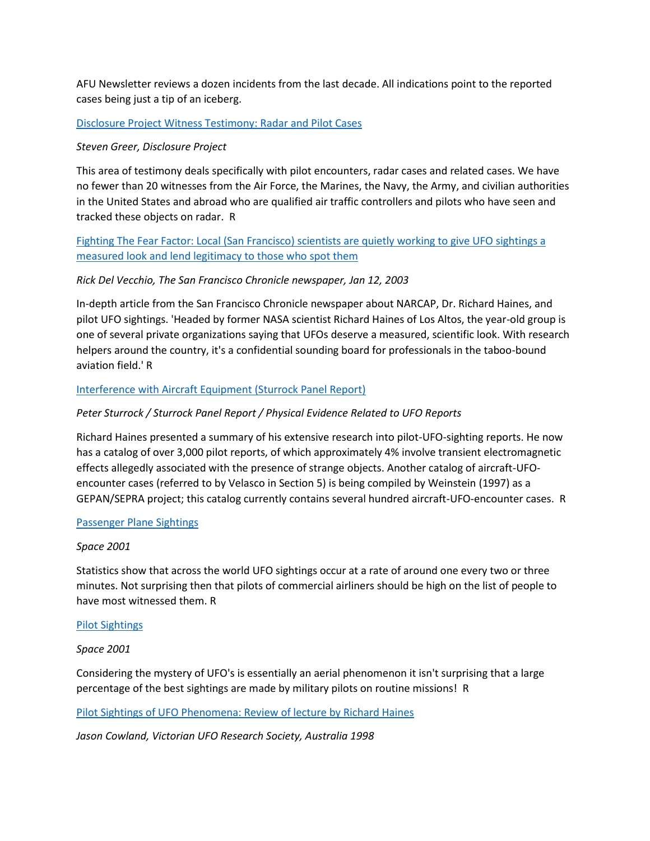AFU Newsletter reviews a dozen incidents from the last decade. All indications point to the reported cases being just a tip of an iceberg.

#### [Disclosure Project Witness Testimony: Radar and Pilot Cases](http://www.ufoevidence.org/documents/doc631.htm)

#### *Steven Greer, Disclosure Project*

This area of testimony deals specifically with pilot encounters, radar cases and related cases. We have no fewer than 20 witnesses from the Air Force, the Marines, the Navy, the Army, and civilian authorities in the United States and abroad who are qualified air traffic controllers and pilots who have seen and tracked these objects on radar. R

[Fighting The Fear Factor: Local \(San Francisco\) scientists are quietly working to give UFO](http://www.ufoevidence.org/documents/doc601.htm) sightings a [measured look and lend legitimacy to those who spot them](http://www.ufoevidence.org/documents/doc601.htm) 

#### *Rick Del Vecchio, The San Francisco Chronicle newspaper, Jan 12, 2003*

In-depth article from the San Francisco Chronicle newspaper about NARCAP, Dr. Richard Haines, and pilot UFO sightings. 'Headed by former NASA scientist Richard Haines of Los Altos, the year-old group is one of several private organizations saying that UFOs deserve a measured, scientific look. With research helpers around the country, it's a confidential sounding board for professionals in the taboo-bound aviation field.' R

#### [Interference with Aircraft Equipment \(Sturrock Panel Report\)](http://www.ufoevidence.org/documents/doc622.htm)

#### *Peter Sturrock / Sturrock Panel Report / Physical Evidence Related to UFO Reports*

Richard Haines presented a summary of his extensive research into pilot-UFO-sighting reports. He now has a catalog of over 3,000 pilot reports, of which approximately 4% involve transient electromagnetic effects allegedly associated with the presence of strange objects. Another catalog of aircraft-UFOencounter cases (referred to by Velasco in Section 5) is being compiled by Weinstein (1997) as a GEPAN/SEPRA project; this catalog currently contains several hundred aircraft-UFO-encounter cases. R

#### [Passenger Plane Sightings](http://www.ufoevidence.org/documents/doc1779.htm)

#### *Space 2001*

Statistics show that across the world UFO sightings occur at a rate of around one every two or three minutes. Not surprising then that pilots of commercial airliners should be high on the list of people to have most witnessed them. R

#### [Pilot Sightings](http://www.ufoevidence.org/documents/doc499.htm)

#### *Space 2001*

Considering the mystery of UFO's is essentially an aerial phenomenon it isn't surprising that a large percentage of the best sightings are made by military pilots on routine missions! R

#### [Pilot Sightings of UFO Phenomena: Review of lecture by Richard Haines](http://www.ufoevidence.org/documents/doc731.htm)

*Jason Cowland, Victorian UFO Research Society, Australia 1998*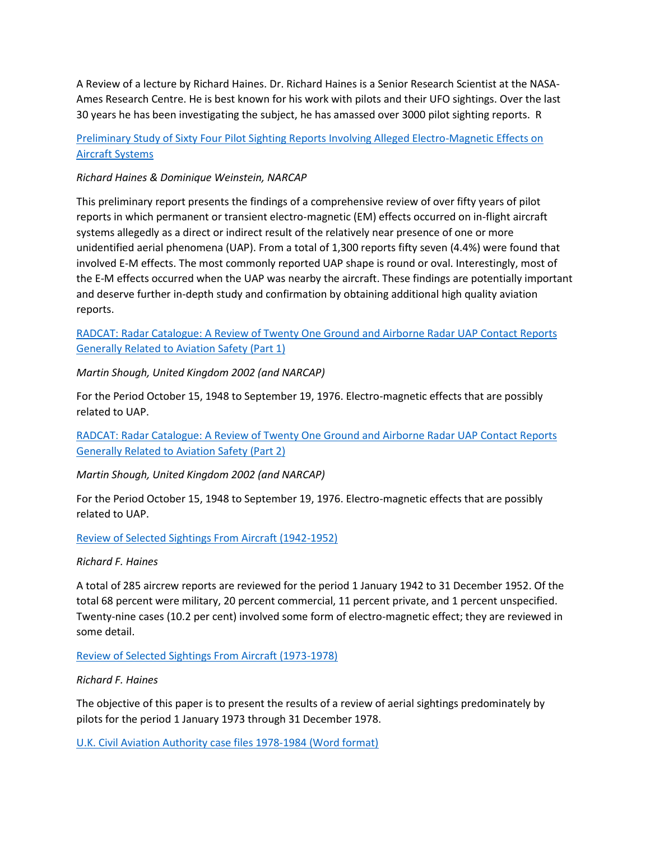A Review of a lecture by Richard Haines. Dr. Richard Haines is a Senior Research Scientist at the NASA-Ames Research Centre. He is best known for his work with pilots and their UFO sightings. Over the last 30 years he has been investigating the subject, he has amassed over 3000 pilot sighting reports. R

# [Preliminary Study of Sixty Four Pilot Sighting Reports Involving Alleged Electro-Magnetic Effects on](http://www.narcap.org/REPORTS/Emcarm.htm)  [Aircraft Systems](http://www.narcap.org/REPORTS/Emcarm.htm)

## *Richard Haines & Dominique Weinstein, NARCAP*

This preliminary report presents the findings of a comprehensive review of over fifty years of pilot reports in which permanent or transient electro-magnetic (EM) effects occurred on in-flight aircraft systems allegedly as a direct or indirect result of the relatively near presence of one or more unidentified aerial phenomena (UAP). From a total of 1,300 reports fifty seven (4.4%) were found that involved E-M effects. The most commonly reported UAP shape is round or oval. Interestingly, most of the E-M effects occurred when the UAP was nearby the aircraft. These findings are potentially important and deserve further in-depth study and confirmation by obtaining additional high quality aviation reports.

RADCAT: Radar Catalogue: [A Review of Twenty One Ground and Airborne Radar UAP Contact Reports](http://www.narcap.org/REPORTS/TR6pt1.htm)  [Generally Related to Aviation Safety \(Part 1\)](http://www.narcap.org/REPORTS/TR6pt1.htm)

*Martin Shough, United Kingdom 2002 (and NARCAP)*

For the Period October 15, 1948 to September 19, 1976. Electro-magnetic effects that are possibly related to UAP.

[RADCAT: Radar Catalogue: A Review of Twenty One Ground and Airborne Radar UAP Contact Reports](http://www.narcap.org/REPORTS/TR6pt2.htm)  [Generally Related to Aviation Safety \(Part 2\)](http://www.narcap.org/REPORTS/TR6pt2.htm)

*Martin Shough, United Kingdom 2002 (and NARCAP)*

For the Period October 15, 1948 to September 19, 1976. Electro-magnetic effects that are possibly related to UAP.

#### [Review of Selected Sightings From Aircraft \(1942-1952\)](http://www.nicap.dabsol.co.uk/83rsaps.htm)

#### *Richard F. Haines*

A total of 285 aircrew reports are reviewed for the period 1 January 1942 to 31 December 1952. Of the total 68 percent were military, 20 percent commercial, 11 percent private, and 1 percent unspecified. Twenty-nine cases (10.2 per cent) involved some form of electro-magnetic effect; they are reviewed in some detail.

[Review of Selected Sightings From Aircraft \(1973-1978\)](http://www.nicap.dabsol.co.uk/79ssfa.htm)

#### *Richard F. Haines*

The objective of this paper is to present the results of a review of aerial sightings predominately by pilots for the period 1 January 1973 through 31 December 1978.

[U.K. Civil Aviation Authority case files 1978-1984 \(Word format\)](http://www.narcap.org/international%20orgs%20case%20files/UK_CAA78_84.DOC)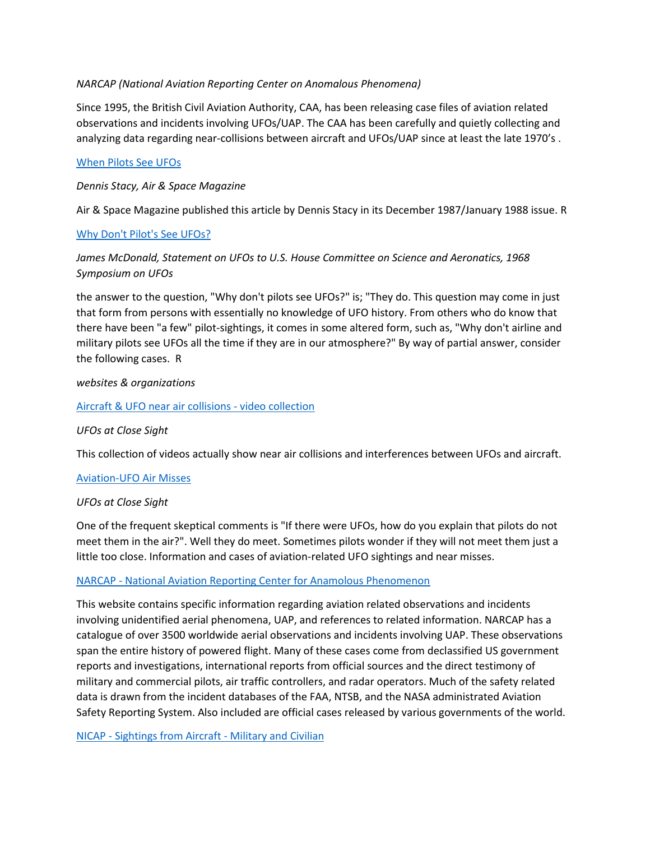#### *NARCAP (National Aviation Reporting Center on Anomalous Phenomena)*

Since 1995, the British Civil Aviation Authority, CAA, has been releasing case files of aviation related observations and incidents involving UFOs/UAP. The CAA has been carefully and quietly collecting and analyzing data regarding near-collisions between aircraft and UFOs/UAP since at least the late 1970's .

## [When Pilots See UFOs](http://www.ufoevidence.org/documents/doc180.htm)

## *Dennis Stacy, Air & Space Magazine*

Air & Space Magazine published this article by Dennis Stacy in its December 1987/January 1988 issue. R

## [Why Don't Pilot's See UFOs?](http://www.ufoevidence.org/documents/doc615.htm)

# *James McDonald, Statement on UFOs to U.S. House Committee on Science and Aeronatics, 1968 Symposium on UFOs*

the answer to the question, "Why don't pilots see UFOs?" is; "They do. This question may come in just that form from persons with essentially no knowledge of UFO history. From others who do know that there have been "a few" pilot-sightings, it comes in some altered form, such as, "Why don't airline and military pilots see UFOs all the time if they are in our atmosphere?" By way of partial answer, consider the following cases. R

#### *websites & organizations*

## [Aircraft & UFO near air collisions -](http://www.chez.com/lesovnis/htm/vidair.htm) video collection

#### *UFOs at Close Sight*

This collection of videos actually show near air collisions and interferences between UFOs and aircraft.

#### [Aviation-UFO Air Misses](http://www.chez.com/lesovnis/htm/airmiss.htm)

#### *UFOs at Close Sight*

One of the frequent skeptical comments is "If there were UFOs, how do you explain that pilots do not meet them in the air?". Well they do meet. Sometimes pilots wonder if they will not meet them just a little too close. Information and cases of aviation-related UFO sightings and near misses.

#### NARCAP - [National Aviation Reporting Center for Anamolous Phenomenon](http://www.narcap.org/)

This website contains specific information regarding aviation related observations and incidents involving unidentified aerial phenomena, UAP, and references to related information. NARCAP has a catalogue of over 3500 worldwide aerial observations and incidents involving UAP. These observations span the entire history of powered flight. Many of these cases come from declassified US government reports and investigations, international reports from official sources and the direct testimony of military and commercial pilots, air traffic controllers, and radar operators. Much of the safety related data is drawn from the incident databases of the FAA, NTSB, and the NASA administrated Aviation Safety Reporting System. Also included are official cases released by various governments of the world.

NICAP - [Sightings from Aircraft -](http://www.nicap.dabsol.co.uk/cat11.htm) Military and Civilian